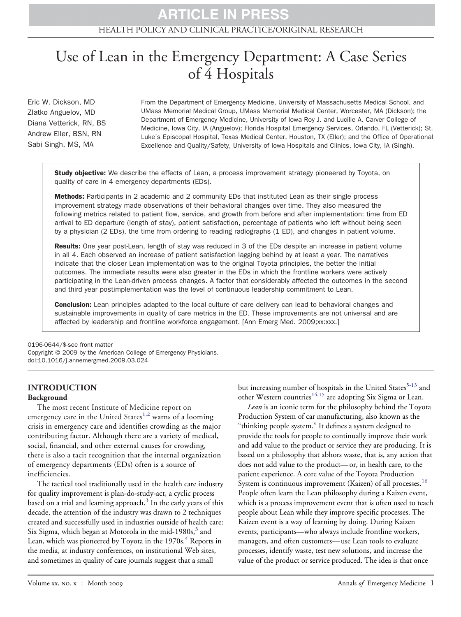# Use of Lean in the Emergency Department: A Case Series of 4 Hospitals

Eric W. Dickson, MD Zlatko Anguelov, MD Diana Vetterick, RN, BS Andrew Eller, BSN, RN Sabi Singh, MS, MA

From the Department of Emergency Medicine, University of Massachusetts Medical School, and UMass Memorial Medical Group, UMass Memorial Medical Center, Worcester, MA (Dickson); the Department of Emergency Medicine, University of Iowa Roy J. and Lucille A. Carver College of Medicine, Iowa City, IA (Anguelov); Florida Hospital Emergency Services, Orlando, FL (Vetterick); St. Luke's Episcopal Hospital, Texas Medical Center, Houston, TX (Eller); and the Office of Operational Excellence and Quality/Safety, University of Iowa Hospitals and Clinics, Iowa City, IA (Singh).

**Study objective:** We describe the effects of Lean, a process improvement strategy pioneered by Toyota, on quality of care in 4 emergency departments (EDs).

Methods: Participants in 2 academic and 2 community EDs that instituted Lean as their single process improvement strategy made observations of their behavioral changes over time. They also measured the following metrics related to patient flow, service, and growth from before and after implementation: time from ED arrival to ED departure (length of stay), patient satisfaction, percentage of patients who left without being seen by a physician (2 EDs), the time from ordering to reading radiographs (1 ED), and changes in patient volume.

Results: One year post-Lean, length of stay was reduced in 3 of the EDs despite an increase in patient volume in all 4. Each observed an increase of patient satisfaction lagging behind by at least a year. The narratives indicate that the closer Lean implementation was to the original Toyota principles, the better the initial outcomes. The immediate results were also greater in the EDs in which the frontline workers were actively participating in the Lean-driven process changes. A factor that considerably affected the outcomes in the second and third year postimplementation was the level of continuous leadership commitment to Lean.

Conclusion: Lean principles adapted to the local culture of care delivery can lead to behavioral changes and sustainable improvements in quality of care metrics in the ED. These improvements are not universal and are affected by leadership and frontline workforce engagement. [Ann Emerg Med. 2009;xx:xxx.]

#### 0196-0644/\$-see front matter

Copyright © 2009 by the American College of Emergency Physicians. doi:10.1016/j.annemergmed.2009.03.024

# **INTRODUCTION**

#### **Background**

The most recent Institute of Medicine report on emergency care in the United States<sup>[1,2](#page-5-0)</sup> warns of a looming crisis in emergency care and identifies crowding as the major contributing factor. Although there are a variety of medical, social, financial, and other external causes for crowding, there is also a tacit recognition that the internal organization of emergency departments (EDs) often is a source of inefficiencies.

The tactical tool traditionally used in the health care industry for quality improvement is plan-do-study-act, a cyclic process based on a trial and learning approach.<sup>[3](#page-5-0)</sup> In the early years of this decade, the attention of the industry was drawn to 2 techniques created and successfully used in industries outside of health care: Six Sigma, which began at Motorola in the mid-1980s,<sup>[3](#page-5-0)</sup> and Lean, which was pioneered by Toyota in the  $1970s<sup>4</sup>$  $1970s<sup>4</sup>$  $1970s<sup>4</sup>$  Reports in the media, at industry conferences, on institutional Web sites, and sometimes in quality of care journals suggest that a small

but increasing number of hospitals in the United States<sup>[5-13](#page-6-0)</sup> and other Western countries<sup>[14,15](#page-6-0)</sup> are adopting Six Sigma or Lean.

*Lean* is an iconic term for the philosophy behind the Toyota Production System of car manufacturing, also known as the "thinking people system." It defines a system designed to provide the tools for people to continually improve their work and add value to the product or service they are producing. It is based on a philosophy that abhors waste, that is, any action that does not add value to the product—or, in health care, to the patient experience. A core value of the Toyota Production System is continuous improvement (Kaizen) of all processes.<sup>[16](#page-6-0)</sup> People often learn the Lean philosophy during a Kaizen event, which is a process improvement event that is often used to teach people about Lean while they improve specific processes. The Kaizen event is a way of learning by doing. During Kaizen events, participants—who always include frontline workers, managers, and often customers— use Lean tools to evaluate processes, identify waste, test new solutions, and increase the value of the product or service produced. The idea is that once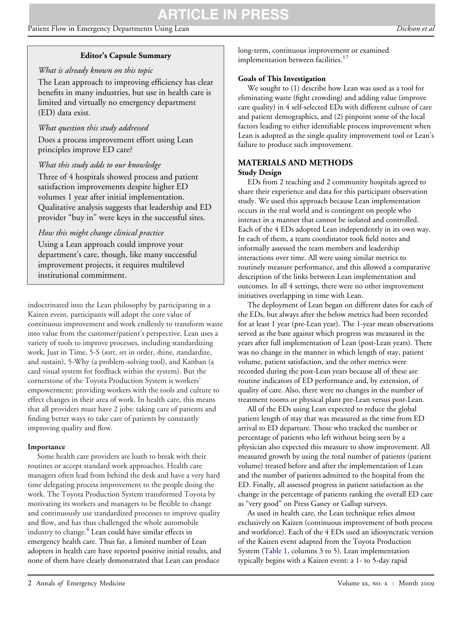# Patient Flow in Emergency Departments Using Lean *Dickson et al*

#### **Editor's Capsule Summary**

#### *What is already known on this topic*

The Lean approach to improving efficiency has clear benefits in many industries, but use in health care is limited and virtually no emergency department (ED) data exist.

#### *What question this study addressed*

Does a process improvement effort using Lean principles improve ED care?

#### *What this study adds to our knowledge*

Three of 4 hospitals showed process and patient satisfaction improvements despite higher ED volumes 1 year after initial implementation. Qualitative analysis suggests that leadership and ED provider "buy in" were keys in the successful sites.

### *How this might change clinical practice*

Using a Lean approach could improve your department's care, though, like many successful improvement projects, it requires multilevel institutional commitment.

indoctrinated into the Lean philosophy by participating in a Kaizen event, participants will adopt the core value of continuous improvement and work endlessly to transform waste into value from the customer/patient's perspective. Lean uses a variety of tools to improve processes, including standardizing work, Just in Time, 5-S (*s*ort, *s*et in order, *s*hine, *s*tandardize, and *s*ustain), 5-Why (a problem-solving tool), and Kanban (a card visual system for feedback within the system). But the cornerstone of the Toyota Production System is workers' empowerment: providing workers with the tools and culture to effect changes in their area of work. In health care, this means that all providers must have 2 jobs: taking care of patients and finding better ways to take care of patients by constantly improving quality and flow.

#### **Importance**

Some health care providers are loath to break with their routines or accept standard work approaches. Health care managers often lead from behind the desk and have a very hard time delegating process improvement to the people doing the work. The Toyota Production System transformed Toyota by motivating its workers and managers to be flexible to change and continuously use standardized processes to improve quality and flow, and has thus challenged the whole automobile industry to change.<sup>[4](#page-6-0)</sup> Lean could have similar effects in emergency health care. Thus far, a limited number of Lean adopters in health care have reported positive initial results, and none of them have clearly demonstrated that Lean can produce

long-term, continuous improvement or examined implementation between facilities.<sup>[17](#page-6-0)</sup>

#### **Goals of This Investigation**

We sought to (1) describe how Lean was used as a tool for eliminating waste (fight crowding) and adding value (improve care quality) in 4 self-selected EDs with different culture of care and patient demographics, and (2) pinpoint some of the local factors leading to either identifiable process improvement when Lean is adopted as the single quality improvement tool or Lean's failure to produce such improvement.

#### **MATERIALS AND METHODS Study Design**

EDs from 2 teaching and 2 community hospitals agreed to share their experience and data for this participant observation study. We used this approach because Lean implementation occurs in the real world and is contingent on people who interact in a manner that cannot be isolated and controlled. Each of the 4 EDs adopted Lean independently in its own way. In each of them, a team coordinator took field notes and informally assessed the team members and leadership interactions over time. All were using similar metrics to routinely measure performance, and this allowed a comparative description of the links between Lean implementation and outcomes. In all 4 settings, there were no other improvement initiatives overlapping in time with Lean.

The deployment of Lean began on different dates for each of the EDs, but always after the below metrics had been recorded for at least 1 year (pre-Lean year). The 1-year mean observations served as the base against which progress was measured in the years after full implementation of Lean (post-Lean years). There was no change in the manner in which length of stay, patient volume, patient satisfaction, and the other metrics were recorded during the post-Lean years because all of these are routine indicators of ED performance and, by extension, of quality of care. Also, there were no changes in the number of treatment rooms or physical plant pre-Lean versus post-Lean.

All of the EDs using Lean expected to reduce the global patient length of stay that was measured as the time from ED arrival to ED departure. Those who tracked the number or percentage of patients who left without being seen by a physician also expected this measure to show improvement. All measured growth by using the total number of patients (patient volume) treated before and after the implementation of Lean and the number of patients admitted to the hospital from the ED. Finally, all assessed progress in patient satisfaction as the change in the percentage of patients ranking the overall ED care as "very good" on Press Ganey or Gallup surveys.

As used in health care, the Lean technique relies almost exclusively on Kaizen (continuous improvement of both process and workforce). Each of the 4 EDs used an idiosyncratic version of the Kaizen event adapted from the Toyota Production System [\(Table 1,](#page-2-0) columns 3 to 5). Lean implementation typically begins with a Kaizen event: a 1- to 5-day rapid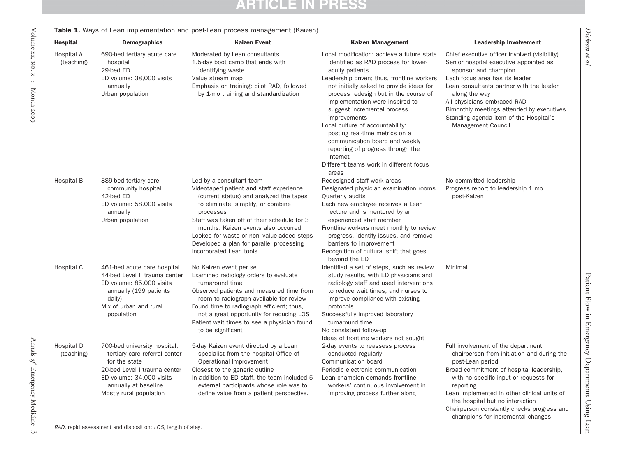# **ARTICLE IN PRESS**

#### **Table 1.** Ways of Lean implementation and post-Lean process management (Kaizen).

<span id="page-2-0"></span>

| <b>Hospital</b>          | <b>Demographics</b>                                                                                                                                                                           | <b>Kaizen Event</b>                                                                                                                                                                                                                                                                                                                                                         | <b>Kaizen Management</b>                                                                                                                                                                                                                                                                                                                                                                                                                                                                                                       | <b>Leadership Involvement</b>                                                                                                                                                                                                                                                                                                                              |
|--------------------------|-----------------------------------------------------------------------------------------------------------------------------------------------------------------------------------------------|-----------------------------------------------------------------------------------------------------------------------------------------------------------------------------------------------------------------------------------------------------------------------------------------------------------------------------------------------------------------------------|--------------------------------------------------------------------------------------------------------------------------------------------------------------------------------------------------------------------------------------------------------------------------------------------------------------------------------------------------------------------------------------------------------------------------------------------------------------------------------------------------------------------------------|------------------------------------------------------------------------------------------------------------------------------------------------------------------------------------------------------------------------------------------------------------------------------------------------------------------------------------------------------------|
| Hospital A<br>(teaching) | 690-bed tertiary acute care<br>hospital<br>29-bed ED<br>ED volume: 38,000 visits<br>annually<br>Urban population                                                                              | Moderated by Lean consultants<br>1.5-day boot camp that ends with<br>identifying waste<br>Value stream map<br>Emphasis on training: pilot RAD, followed<br>by 1-mo training and standardization                                                                                                                                                                             | Local modification: achieve a future state<br>identified as RAD process for lower-<br>acuity patients<br>Leadership driven; thus, frontline workers<br>not initially asked to provide ideas for<br>process redesign but in the course of<br>implementation were inspired to<br>suggest incremental process<br>improvements<br>Local culture of accountability:<br>posting real-time metrics on a<br>communication board and weekly<br>reporting of progress through the<br>Internet<br>Different teams work in different focus | Chief executive officer involved (visibility)<br>Senior hospital executive appointed as<br>sponsor and champion<br>Each focus area has its leader<br>Lean consultants partner with the leader<br>along the way<br>All physicians embraced RAD<br>Bimonthly meetings attended by executives<br>Standing agenda item of the Hospital's<br>Management Council |
| Hospital B               | 889-bed tertiary care<br>community hospital<br>42-bed ED<br>ED volume: 58,000 visits<br>annually<br>Urban population                                                                          | Led by a consultant team<br>Videotaped patient and staff experience<br>(current status) and analyzed the tapes<br>to eliminate, simplify, or combine<br>processes<br>Staff was taken off of their schedule for 3<br>months: Kaizen events also occurred<br>Looked for waste or non-value-added steps<br>Developed a plan for parallel processing<br>Incorporated Lean tools | areas<br>Redesigned staff work areas<br>Designated physician examination rooms<br>Quarterly audits<br>Each new employee receives a Lean<br>lecture and is mentored by an<br>experienced staff member<br>Frontline workers meet monthly to review<br>progress, identify issues, and remove<br>barriers to improvement<br>Recognition of cultural shift that goes                                                                                                                                                                | No committed leadership<br>Progress report to leadership 1 mo<br>post-Kaizen                                                                                                                                                                                                                                                                               |
| Hospital C               | 461-bed acute care hospital<br>44-bed Level II trauma center<br>ED volume: 85,000 visits<br>annually (199 patients<br>daily)<br>Mix of urban and rural<br>population                          | No Kaizen event per se<br>Examined radiology orders to evaluate<br>turnaround time<br>Observed patients and measured time from<br>room to radiograph available for review<br>Found time to radiograph efficient; thus,<br>not a great opportunity for reducing LOS<br>Patient wait times to see a physician found<br>to be significant                                      | beyond the ED<br>Identified a set of steps, such as review<br>study results, with ED physicians and<br>radiology staff and used interventions<br>to reduce wait times, and nurses to<br>improve compliance with existing<br>protocols<br>Successfully improved laboratory<br>turnaround time<br>No consistent follow-up                                                                                                                                                                                                        | Minimal                                                                                                                                                                                                                                                                                                                                                    |
| Hospital D<br>(teaching) | 700-bed university hospital,<br>tertiary care referral center<br>for the state<br>20-bed Level I trauma center<br>ED volume: 34,000 visits<br>annually at baseline<br>Mostly rural population | 5-day Kaizen event directed by a Lean<br>specialist from the hospital Office of<br>Operational Improvement<br>Closest to the generic outline<br>In addition to ED staff, the team included 5<br>external participants whose role was to<br>define value from a patient perspective.                                                                                         | Ideas of frontline workers not sought<br>2-day events to reassess process<br>conducted regularly<br>Communication board<br>Periodic electronic communication<br>Lean champion demands frontline<br>workers' continuous involvement in<br>improving process further along                                                                                                                                                                                                                                                       | Full involvement of the department<br>chairperson from initiation and during the<br>post-Lean period<br>Broad commitment of hospital leadership,<br>with no specific input or requests for<br>reporting<br>Lean implemented in other clinical units of<br>the hospital but no interaction                                                                  |

*Dickson et al*

Chairperson constantly checks progress and champions for incremental changes

Annals *of*

Emergency Medicine

 $\omega$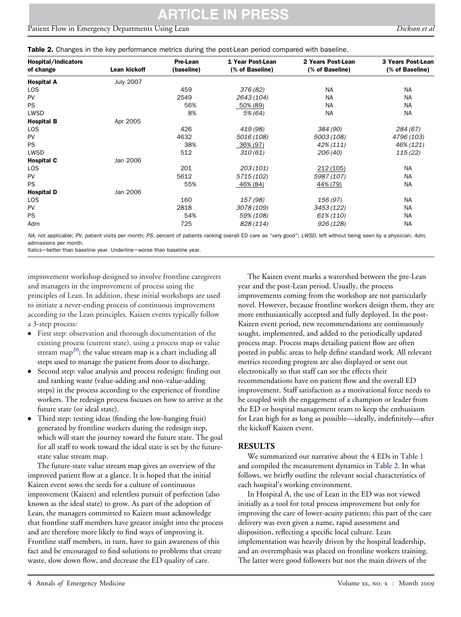# Patient Flow in Emergency Departments Using Lean *Dickson et al*

|  | Table 2. Changes in the key performance metrics during the post-Lean period compared with baseline. |  |  |  |  |
|--|-----------------------------------------------------------------------------------------------------|--|--|--|--|
|  |                                                                                                     |  |  |  |  |

| Hospital/Indicators |                  | Pre-Lean   | 1 Year Post-Lean | 2 Years Post-Lean | 3 Years Post-Lean |
|---------------------|------------------|------------|------------------|-------------------|-------------------|
| of change           | Lean kickoff     | (baseline) | (% of Baseline)  | (% of Baseline)   | (% of Baseline)   |
| <b>Hospital A</b>   | <b>July 2007</b> |            |                  |                   |                   |
| <b>LOS</b>          |                  | 459        | 376 (82)         | <b>NA</b>         | <b>NA</b>         |
| PV                  |                  | 2549       | 2643 (104)       | <b>NA</b>         | <b>NA</b>         |
| <b>PS</b>           |                  | 56%        | 50% (89)         | <b>NA</b>         | <b>NA</b>         |
| LWSD                |                  | 8%         | 5% (64)          | <b>NA</b>         | <b>NA</b>         |
| <b>Hospital B</b>   | Apr 2005         |            |                  |                   |                   |
| <b>LOS</b>          |                  | 426        | 419 (98)         | 384 (90)          | 284 (67)          |
| <b>PV</b>           |                  | 4632       | 5016 (108)       | 5003 (108)        | 4796 (103)        |
| <b>PS</b>           |                  | 38%        | 36% (97)         | 42% (111)         | 46% (121)         |
| LWSD                |                  | 512        | 310(61)          | 206 (40)          | 115(22)           |
| <b>Hospital C</b>   | Jan 2006         |            |                  |                   |                   |
| <b>LOS</b>          |                  | 201        | 203 (101)        | 212 (105)         | <b>NA</b>         |
| PV                  |                  | 5612       | 5715 (102)       | 5987 (107)        | <b>NA</b>         |
| <b>PS</b>           |                  | 55%        | 46% (84)         | 44% (79)          | <b>NA</b>         |
| <b>Hospital D</b>   | Jan 2006         |            |                  |                   |                   |
| <b>LOS</b>          |                  | 160        | 157 (98)         | 156 (97)          | <b>NA</b>         |
| PV                  |                  | 2818       | 3078 (109)       | 3453 (122)        | <b>NA</b>         |
| <b>PS</b>           |                  | 54%        | 59% (108)        | 61% (110)         | <b>NA</b>         |
| Adm                 |                  | 725        | 828 (114)        | 926 (128)         | <b>NA</b>         |

*NA,* not applicable; *PV,* patient visits per month; *PS,* percent of patients ranking overall ED care as "very good"; *LWSD,* left without being seen by a physician; *Adm,* admissions per month.

Italics=better than baseline year. Underline=worse than baseline year.

improvement workshop designed to involve frontline caregivers and managers in the improvement of process using the principles of Lean. In addition, these initial workshops are used to initiate a never-ending process of continuous improvement according to the Lean principles. Kaizen events typically follow a 3-step process:

- First step: observation and thorough documentation of the existing process (current state), using a process map or value stream map<sup>20</sup>; the value stream map is a chart including all steps used to manage the patient from door to discharge.
- Second step: value analysis and process redesign: finding out and ranking waste (value-adding and non-value-adding steps) in the process according to the experience of frontline workers. The redesign process focuses on how to arrive at the future state (or ideal state).
- Third step: testing ideas (finding the low-hanging fruit) generated by frontline workers during the redesign step, which will start the journey toward the future state. The goal for all staff to work toward the ideal state is set by the futurestate value stream map.

The future-state value stream map gives an overview of the improved patient flow at a glance. It is hoped that the initial Kaizen event sows the seeds for a culture of continuous improvement (Kaizen) and relentless pursuit of perfection (also known as the ideal state) to grow. As part of the adoption of Lean, the managers committed to Kaizen must acknowledge that frontline staff members have greater insight into the process and are therefore more likely to find ways of improving it. Frontline staff members, in turn, have to gain awareness of this fact and be encouraged to find solutions to problems that create waste, slow down flow, and decrease the ED quality of care.

The Kaizen event marks a watershed between the pre-Lean year and the post-Lean period. Usually, the process improvements coming from the workshop are not particularly novel. However, because frontline workers design them, they are more enthusiastically accepted and fully deployed. In the post-Kaizen event period, new recommendations are continuously sought, implemented, and added to the periodically updated process map. Process maps detailing patient flow are often posted in public areas to help define standard work. All relevant metrics recording progress are also displayed or sent out electronically so that staff can see the effects their recommendations have on patient flow and the overall ED improvement. Staff satisfaction as a motivational force needs to be coupled with the engagement of a champion or leader from the ED or hospital management team to keep the enthusiasm for Lean high for as long as possible—ideally, indefinitely—after the kickoff Kaizen event.

#### **RESULTS**

We summarized our narrative about the 4 EDs in [Table 1](#page-2-0) and compiled the measurement dynamics in Table 2. In what follows, we briefly outline the relevant social characteristics of each hospital's working environment.

In Hospital A, the use of Lean in the ED was not viewed initially as a tool for total process improvement but only for improving the care of lower-acuity patients; this part of the care delivery was even given a name, rapid assessment and disposition, reflecting a specific local culture. Lean implementation was heavily driven by the hospital leadership, and an overemphasis was placed on frontline workers training. The latter were good followers but not the main drivers of the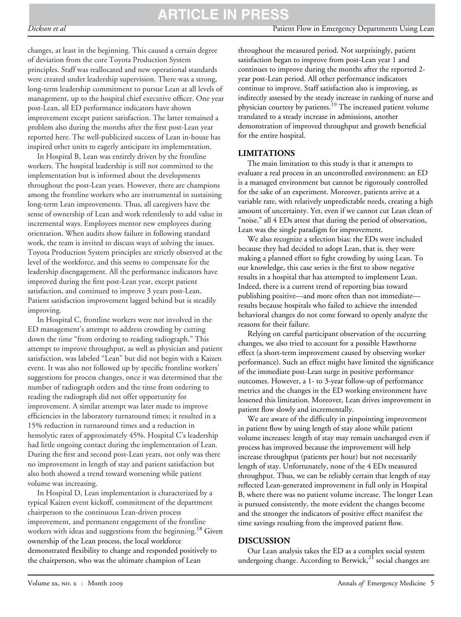changes, at least in the beginning. This caused a certain degree of deviation from the core Toyota Production System principles. Staff was reallocated and new operational standards were created under leadership supervision. There was a strong, long-term leadership commitment to pursue Lean at all levels of management, up to the hospital chief executive officer. One year post-Lean, all ED performance indicators have shown improvement except patient satisfaction. The latter remained a problem also during the months after the first post-Lean year reported here. The well-publicized success of Lean in-house has inspired other units to eagerly anticipate its implementation.

In Hospital B, Lean was entirely driven by the frontline workers. The hospital leadership is still not committed to the implementation but is informed about the developments throughout the post-Lean years. However, there are champions among the frontline workers who are instrumental in sustaining long-term Lean improvements. Thus, all caregivers have the sense of ownership of Lean and work relentlessly to add value in incremental ways. Employees mentor new employees during orientation. When audits show failure in following standard work, the team is invited to discuss ways of solving the issues. Toyota Production System principles are strictly observed at the level of the workforce, and this seems to compensate for the leadership disengagement. All the performance indicators have improved during the first post-Lean year, except patient satisfaction, and continued to improve 3 years post-Lean. Patient satisfaction improvement lagged behind but is steadily improving.

In Hospital C, frontline workers were not involved in the ED management's attempt to address crowding by cutting down the time "from ordering to reading radiograph." This attempt to improve throughput, as well as physician and patient satisfaction, was labeled "Lean" but did not begin with a Kaizen event. It was also not followed up by specific frontline workers' suggestions for process changes, once it was determined that the number of radiograph orders and the time from ordering to reading the radiograph did not offer opportunity for improvement. A similar attempt was later made to improve efficiencies in the laboratory turnaround times; it resulted in a 15% reduction in turnaround times and a reduction in hemolytic rates of approximately 45%. Hospital C's leadership had little ongoing contact during the implementation of Lean. During the first and second post-Lean years, not only was there no improvement in length of stay and patient satisfaction but also both showed a trend toward worsening while patient volume was increasing.

In Hospital D, Lean implementation is characterized by a typical Kaizen event kickoff, commitment of the department chairperson to the continuous Lean-driven process improvement, and permanent engagement of the frontline workers with ideas and suggestions from the beginning.<sup>[18](#page-6-0)</sup> Given ownership of the Lean process, the local workforce demonstrated flexibility to change and responded positively to the chairperson, who was the ultimate champion of Lean

throughout the measured period. Not surprisingly, patient satisfaction began to improve from post-Lean year 1 and continues to improve during the months after the reported 2 year post-Lean period. All other performance indicators continue to improve. Staff satisfaction also is improving, as indirectly assessed by the steady increase in ranking of nurse and physician courtesy by patients.[19](#page-6-0) The increased patient volume translated to a steady increase in admissions, another demonstration of improved throughput and growth beneficial for the entire hospital.

#### **LIMITATIONS**

The main limitation to this study is that it attempts to evaluate a real process in an uncontrolled environment: an ED is a managed environment but cannot be rigorously controlled for the sake of an experiment. Moreover, patients arrive at a variable rate, with relatively unpredictable needs, creating a high amount of uncertainty. Yet, even if we cannot cut Lean clean of "noise," all 4 EDs attest that during the period of observation, Lean was the single paradigm for improvement.

We also recognize a selection bias: the EDs were included because they had decided to adopt Lean, that is, they were making a planned effort to fight crowding by using Lean. To our knowledge, this case series is the first to show negative results in a hospital that has attempted to implement Lean. Indeed, there is a current trend of reporting bias toward publishing positive—and more often than not immediate results because hospitals who failed to achieve the intended behavioral changes do not come forward to openly analyze the reasons for their failure.

Relying on careful participant observation of the occurring changes, we also tried to account for a possible Hawthorne effect (a short-term improvement caused by observing worker performance). Such an effect might have limited the significance of the immediate post-Lean surge in positive performance outcomes. However, a 1- to 3-year follow-up of performance metrics and the changes in the ED working environment have lessened this limitation. Moreover, Lean drives improvement in patient flow slowly and incrementally.

We are aware of the difficulty in pinpointing improvement in patient flow by using length of stay alone while patient volume increases: length of stay may remain unchanged even if process has improved because the improvement will help increase throughput (patients per hour) but not necessarily length of stay. Unfortunately, none of the 4 EDs measured throughput. Thus, we can be reliably certain that length of stay reflected Lean-generated improvement in full only in Hospital B, where there was no patient volume increase. The longer Lean is pursued consistently, the more evident the changes become and the stronger the indicators of positive effect manifest the time savings resulting from the improved patient flow.

#### **DISCUSSION**

Our Lean analysis takes the ED as a complex social system undergoing change. According to Berwick, $2<sup>1</sup>$  social changes are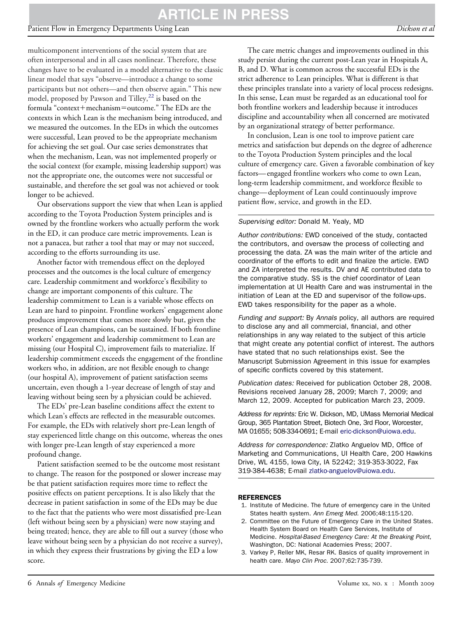# <span id="page-5-0"></span>Patient Flow in Emergency Departments Using Lean *Dickson et al*

multicomponent interventions of the social system that are often interpersonal and in all cases nonlinear. Therefore, these changes have to be evaluated in a model alternative to the classic linear model that says "observe—introduce a change to some participants but not others—and then observe again." This new model, proposed by Pawson and Tilley,<sup>[22](#page-6-0)</sup> is based on the formula "context+mechanism=outcome." The EDs are the contexts in which Lean is the mechanism being introduced, and we measured the outcomes. In the EDs in which the outcomes were successful, Lean proved to be the appropriate mechanism for achieving the set goal. Our case series demonstrates that when the mechanism, Lean, was not implemented properly or the social context (for example, missing leadership support) was not the appropriate one, the outcomes were not successful or sustainable, and therefore the set goal was not achieved or took longer to be achieved.

Our observations support the view that when Lean is applied according to the Toyota Production System principles and is owned by the frontline workers who actually perform the work in the ED, it can produce care metric improvements. Lean is not a panacea, but rather a tool that may or may not succeed, according to the efforts surrounding its use.

Another factor with tremendous effect on the deployed processes and the outcomes is the local culture of emergency care. Leadership commitment and workforce's flexibility to change are important components of this culture. The leadership commitment to Lean is a variable whose effects on Lean are hard to pinpoint. Frontline workers' engagement alone produces improvement that comes more slowly but, given the presence of Lean champions, can be sustained. If both frontline workers' engagement and leadership commitment to Lean are missing (our Hospital C), improvement fails to materialize. If leadership commitment exceeds the engagement of the frontline workers who, in addition, are not flexible enough to change (our hospital A), improvement of patient satisfaction seems uncertain, even though a 1-year decrease of length of stay and leaving without being seen by a physician could be achieved.

The EDs' pre-Lean baseline conditions affect the extent to which Lean's effects are reflected in the measurable outcomes. For example, the EDs with relatively short pre-Lean length of stay experienced little change on this outcome, whereas the ones with longer pre-Lean length of stay experienced a more profound change.

Patient satisfaction seemed to be the outcome most resistant to change. The reason for the postponed or slower increase may be that patient satisfaction requires more time to reflect the positive effects on patient perceptions. It is also likely that the decrease in patient satisfaction in some of the EDs may be due to the fact that the patients who were most dissatisfied pre-Lean (left without being seen by a physician) were now staying and being treated; hence, they are able to fill out a survey (those who leave without being seen by a physician do not receive a survey), in which they express their frustrations by giving the ED a low score.

The care metric changes and improvements outlined in this study persist during the current post-Lean year in Hospitals A, B, and D. What is common across the successful EDs is the strict adherence to Lean principles. What is different is that these principles translate into a variety of local process redesigns. In this sense, Lean must be regarded as an educational tool for both frontline workers and leadership because it introduces discipline and accountability when all concerned are motivated by an organizational strategy of better performance.

In conclusion, Lean is one tool to improve patient care metrics and satisfaction but depends on the degree of adherence to the Toyota Production System principles and the local culture of emergency care. Given a favorable combination of key factors— engaged frontline workers who come to own Lean, long-term leadership commitment, and workforce flexible to change— deployment of Lean could continuously improve patient flow, service, and growth in the ED.

#### *Supervising editor:* Donald M. Yealy, MD

*Author contributions:* EWD conceived of the study, contacted the contributors, and oversaw the process of collecting and processing the data. ZA was the main writer of the article and coordinator of the efforts to edit and finalize the article. EWD and ZA interpreted the results. DV and AE contributed data to the comparative study. SS is the chief coordinator of Lean implementation at UI Health Care and was instrumental in the initiation of Lean at the ED and supervisor of the follow-ups. EWD takes responsibility for the paper as a whole.

*Funding and support:* By *Annals* policy, all authors are required to disclose any and all commercial, financial, and other relationships in any way related to the subject of this article that might create any potential conflict of interest. The authors have stated that no such relationships exist. See the Manuscript Submission Agreement in this issue for examples of specific conflicts covered by this statement.

*Publication dates:* Received for publication October 28, 2008. Revisions received January 28, 2009; March 7, 2009; and March 12, 2009. Accepted for publication March 23, 2009.

*Address for reprints:* Eric W. Dickson, MD, UMass Memorial Medical Group, 365 Plantation Street, Biotech One, 3rd Floor, Worcester, MA 01655; 508-334-0691; E-mail [eric-dickson@uiowa.edu.](mailto:eric-dickson@uiowa.edu)

*Address for correspondence:* Zlatko Anguelov MD, Office of Marketing and Communications, UI Health Care, 200 Hawkins Drive, WL 4155, Iowa City, IA 52242; 319-353-3022, Fax 319-384-4638; E-mail [zlatko-anguelov@uiowa.edu.](mailto:zlatko-anguelov@uiowa.edu)

#### **REFERENCES**

- 1. Institute of Medicine. The future of emergency care in the United States health system. *Ann Emerg Med.* 2006;48:115-120.
- 2. Committee on the Future of Emergency Care in the United States. Health System Board on Health Care Services, Institute of Medicine. *Hospital-Based Emergency Care: At the Breaking Point*, Washington, DC: National Academies Press; 2007.
- 3. Varkey P, Reller MK, Resar RK. Basics of quality improvement in health care. *Mayo Clin Proc*. 2007;62:735-739.